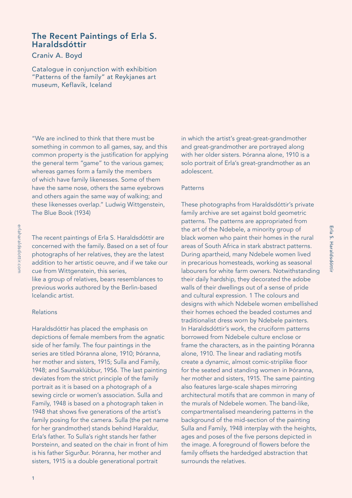## The Recent Paintings of Erla S. Haraldsdóttir

### Craniv A. Boyd

Catalogue in conjunction with exhibition "Patterns of the family" at Reykjanes art museum, Keflavík, Iceland

"We are inclined to think that there must be something in common to all games, say, and this common property is the justification for applying the general term "game" to the various games; whereas games form a family the members of which have family likenesses. Some of them have the same nose, others the same eyebrows and others again the same way of walking; and these likenesses overlap." Ludwig Wittgenstein, The Blue Book (1934)

addition to her artistic oeuvre, and if we take our cue from Wittgenstein, this series, like a group of relatives, bears resemblances to previous works authored by the Berlin-based Icelandic artist.

The recent paintings of Erla S. Haraldsdóttir are concerned with the family. Based on a set of four photographs of her relatives, they are the latest

#### Relations

Haraldsdóttir has placed the emphasis on depictions of female members from the agnatic side of her family. The four paintings in the series are titled Þóranna alone, 1910; Þóranna, her mother and sisters, 1915; Sulla and Family, 1948; and Saumaklúbbur, 1956. The last painting deviates from the strict principle of the family portrait as it is based on a photograph of a sewing circle or women's association. Sulla and Family, 1948 is based on a photograph taken in 1948 that shows five generations of the artist's family posing for the camera. Sulla (the pet name for her grandmother) stands behind Haraldur, Erla's father. To Sulla's right stands her father Þorsteinn, and seated on the chair in front of him is his father Sigurður. Þóranna, her mother and sisters, 1915 is a double generational portrait

in which the artist's great-great-grandmother and great-grandmother are portrayed along with her older sisters. Þóranna alone, 1910 is a solo portrait of Erla's great-grandmother as an adolescent.

#### **Patterns**

These photographs from Haraldsdóttir's private family archive are set against bold geometric patterns. The patterns are appropriated from the art of the Ndebele, a minority group of black women who paint their homes in the rural areas of South Africa in stark abstract patterns. During apartheid, many Ndebele women lived in precarious homesteads, working as seasonal labourers for white farm owners. Notwithstanding their daily hardship, they decorated the adobe walls of their dwellings out of a sense of pride and cultural expression. 1 The colours and designs with which Ndebele women embellished their homes echoed the beaded costumes and traditionalist dress worn by Ndebele painters. In Haraldsdóttir's work, the cruciform patterns borrowed from Ndebele culture enclose or frame the characters, as in the painting Þóranna alone, 1910. The linear and radiating motifs create a dynamic, almost comic-striplike floor for the seated and standing women in Þóranna, her mother and sisters, 1915. The same painting also features large-scale shapes mirroring architectural motifs that are common in many of the murals of Ndebele women. The band-like, compartmentalised meandering patterns in the background of the mid-section of the painting Sulla and Family, 1948 interplay with the heights, ages and poses of the five persons depicted in the image. A foreground of flowers before the family offsets the hardedged abstraction that surrounds the relatives.